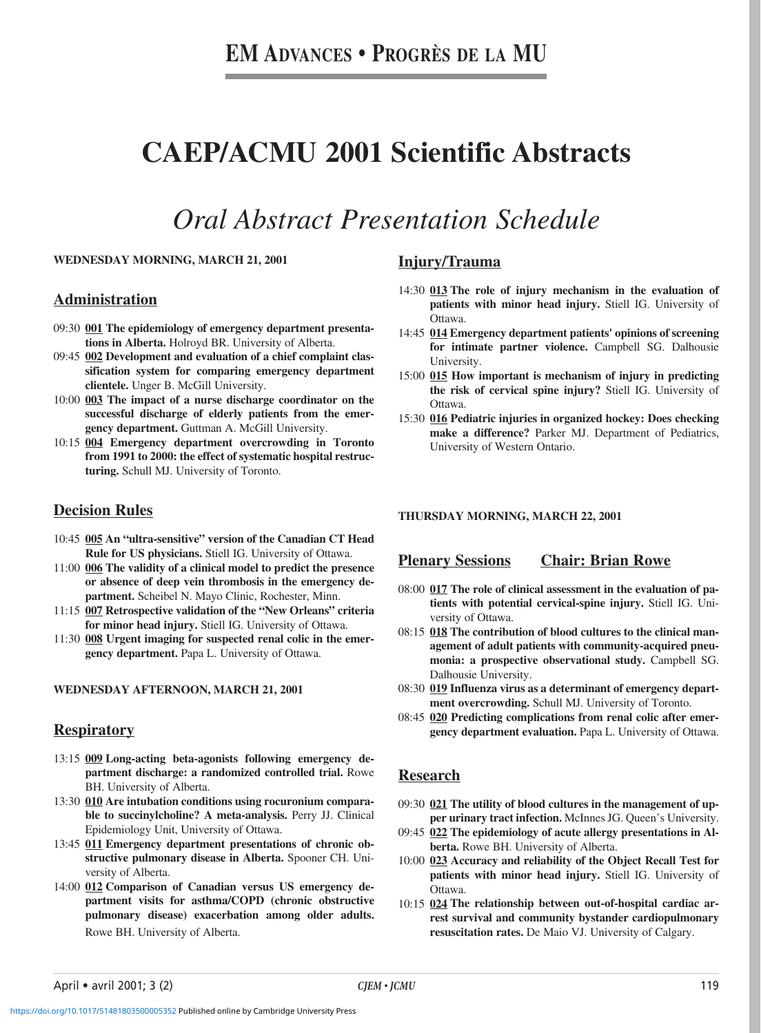# **CAEP/ACMU 2001 Scientific Abstracts**

# *Oral Abstract Presentation Schedule*

#### **WEDNESDAY MORNING, MARCH 21, 2001**

#### **Administration**

- 09:30 **001 The epidemiology of emergency department presentations in Alberta.** Holroyd BR. University of Alberta.
- 09:45 **002 Development and evaluation of a chief complaint classification system for comparing emergency department clientele.** Unger B. McGill University.
- 10:00 **003 The impact of a nurse discharge coordinator on the successful discharge of elderly patients from the emergency department.** Guttman A. McGill University.
- 10:15 **004 Emergency department overcrowding in Toronto from 1991 to 2000: the effect of systematic hospital restructuring.** Schull MJ. University of Toronto.

### **Decision Rules**

- 10:45 **005 An "ultra-sensitive" version of the Canadian CT Head Rule for US physicians.** Stiell IG. University of Ottawa.
- 11:00 **006 The validity of a clinical model to predict the presence or absence of deep vein thrombosis in the emergency department.** Scheibel N. Mayo Clinic, Rochester, Minn.
- 11:15 **007 Retrospective validation of the "New Orleans" criteria for minor head injury.** Stiell IG. University of Ottawa.
- 11:30 **008 Urgent imaging for suspected renal colic in the emergency department.** Papa L. University of Ottawa.

#### **WEDNESDAY AFTERNOON, MARCH 21, 2001**

### **Respiratory**

- 13:15 **009 Long-acting beta-agonists following emergency department discharge: a randomized controlled trial.** Rowe BH. University of Alberta.
- 13:30 **010 Are intubation conditions using rocuronium comparable to succinylcholine? A meta-analysis.** Perry JJ. Clinical Epidemiology Unit, University of Ottawa.
- 13:45 **011 Emergency department presentations of chronic obstructive pulmonary disease in Alberta.** Spooner CH. University of Alberta.
- 14:00 **012 Comparison of Canadian versus US emergency department visits for asthma/COPD (chronic obstructive pulmonary disease) exacerbation among older adults.** Rowe BH. University of Alberta.

## **Injury/Trauma**

- 14:30 **013 The role of injury mechanism in the evaluation of patients with minor head injury.** Stiell IG. University of Ottawa.
- 14:45 **014 Emergency department patients' opinions of screening for intimate partner violence.** Campbell SG. Dalhousie University.
- 15:00 **015 How important is mechanism of injury in predicting the risk of cervical spine injury?** Stiell IG. University of Ottawa.
- 15:30 **016 Pediatric injuries in organized hockey: Does checking make a difference?** Parker MJ. Department of Pediatrics, University of Western Ontario.

#### **THURSDAY MORNING, MARCH 22, 2001**

#### **Plenary Sessions Chair: Brian Rowe**

- 08:00 **017 The role of clinical assessment in the evaluation of patients with potential cervical-spine injury.** Stiell IG. University of Ottawa.
- 08:15 **018 The contribution of blood cultures to the clinical management of adult patients with community-acquired pneumonia: a prospective observational study.** Campbell SG. Dalhousie University.
- 08:30 **019 Influenza virus as a determinant of emergency department overcrowding.** Schull MJ. University of Toronto.
- 08:45 **020 Predicting complications from renal colic after emergency department evaluation.** Papa L. University of Ottawa.

## **Research**

- 09:30 **021 The utility of blood cultures in the management of upper urinary tract infection.** McInnes JG. Queen's University.
- 09:45 **022 The epidemiology of acute allergy presentations in Alberta.** Rowe BH. University of Alberta.
- 10:00 **023 Accuracy and reliability of the Object Recall Test for patients with minor head injury.** Stiell IG. University of Ottawa.
- 10:15 **024 The relationship between out-of-hospital cardiac arrest survival and community bystander cardiopulmonary resuscitation rates.** De Maio VJ. University of Calgary.